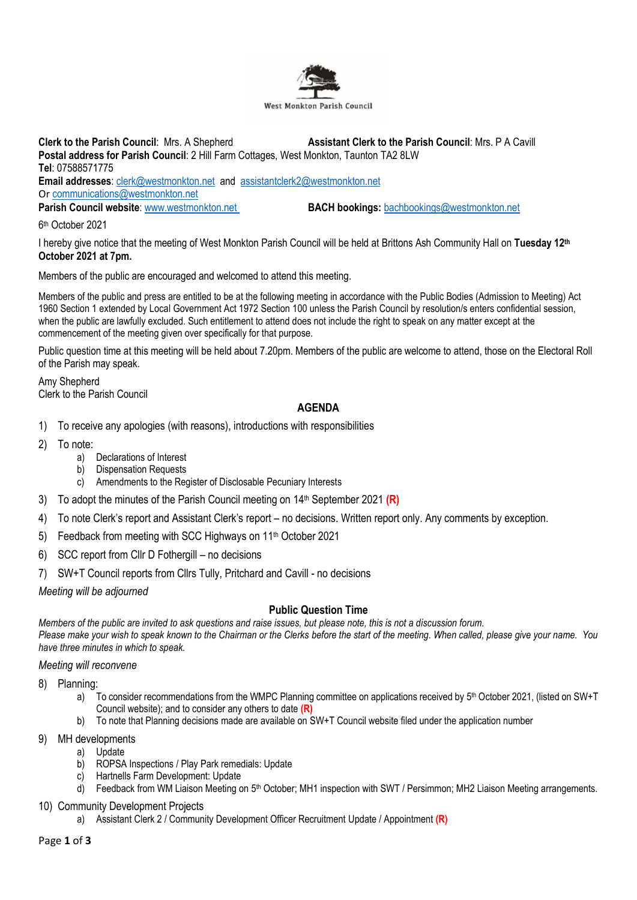

**Clerk to the Parish Council**: Mrs. A Shepherd **Assistant Clerk to the Parish Council**: Mrs. P A Cavill **Postal address for Parish Council**: 2 Hill Farm Cottages, West Monkton, Taunton TA2 8LW **Tel**: 07588571775 **Email addresses**: [clerk@westmonkton.net](mailto:clerk@westmonkton.net) and [assistantclerk2@westmonkton.net](mailto:assistantclerk2@westmonkton.net) Or [communications@westmonkton.net](mailto:communications@westmonkton.net) **Parish Council website:** [www.westmonkton.net](http://www.westmonkton.net/) **BACH bookings:** [bachbookings@westmonkton.net](mailto:bachbookings@westmonkton.net)

6 th October 2021

I hereby give notice that the meeting of West Monkton Parish Council will be held at Brittons Ash Community Hall on **Tuesday 12 th October 2021 at 7pm.**

Members of the public are encouraged and welcomed to attend this meeting.

Members of the public and press are entitled to be at the following meeting in accordance with the Public Bodies (Admission to Meeting) Act 1960 Section 1 extended by Local Government Act 1972 Section 100 unless the Parish Council by resolution/s enters confidential session, when the public are lawfully excluded. Such entitlement to attend does not include the right to speak on any matter except at the commencement of the meeting given over specifically for that purpose.

Public question time at this meeting will be held about 7.20pm. Members of the public are welcome to attend, those on the Electoral Roll of the Parish may speak.

Amy Shepherd Clerk to the Parish Council

## **AGENDA**

- 1) To receive any apologies (with reasons), introductions with responsibilities
- 2) To note:
	- a) Declarations of Interest
	- b) Dispensation Requests
	- c) Amendments to the Register of Disclosable Pecuniary Interests
- 3) To adopt the minutes of the Parish Council meeting on 14th September 2021 **(R)**
- 4) To note Clerk's report and Assistant Clerk's report no decisions. Written report only. Any comments by exception.
- 5) Feedback from meeting with SCC Highways on 11th October 2021
- 6) SCC report from Cllr D Fothergill no decisions
- 7) SW+T Council reports from Cllrs Tully, Pritchard and Cavill no decisions

*Meeting will be adjourned*

# **Public Question Time**

*Members of the public are invited to ask questions and raise issues, but please note, this is not a discussion forum. Please make your wish to speak known to the Chairman or the Clerks before the start of the meeting. When called, please give your name. You have three minutes in which to speak.*

### *Meeting will reconvene*

- 8) Planning:
	- a) To consider recommendations from the WMPC Planning committee on applications received by 5<sup>th</sup> October 2021, (listed on SW+T Council website); and to consider any others to date **(R)**
	- b) To note that Planning decisions made are available on SW+T Council website filed under the application number
- 9) MH developments
	- a) Update
	- b) ROPSA Inspections / Play Park remedials: Update
	- c) Hartnells Farm Development: Update
	- d) Feedback from WM Liaison Meeting on 5<sup>th</sup> October; MH1 inspection with SWT / Persimmon; MH2 Liaison Meeting arrangements.
- 10) Community Development Projects
	- a) Assistant Clerk 2 / Community Development Officer Recruitment Update / Appointment **(R)**

Page **1** of **3**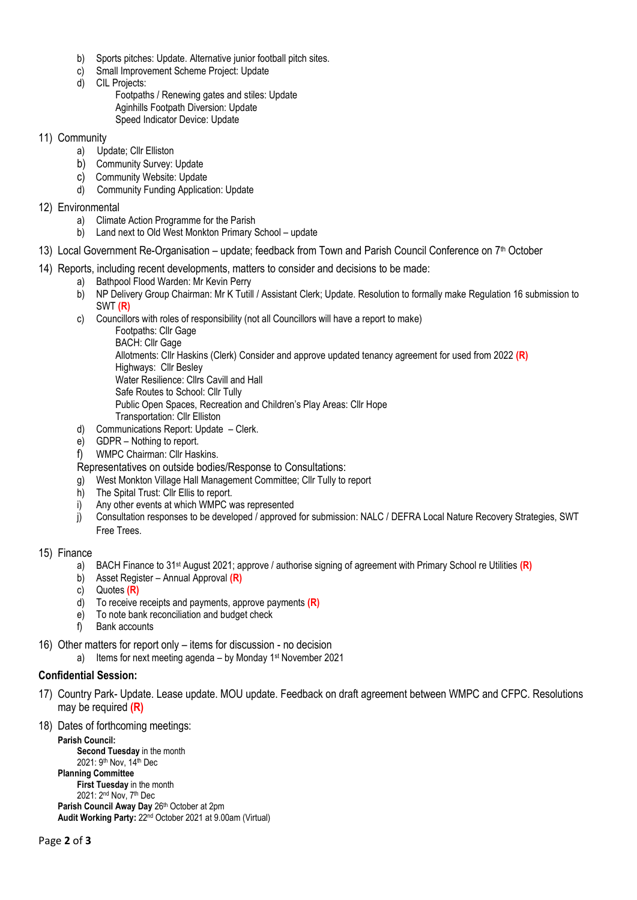- b) Sports pitches: Update. Alternative junior football pitch sites.<br>c) Small Improvement Scheme Project: Update
- Small Improvement Scheme Project: Update
- d) CIL Projects:
	- Footpaths / Renewing gates and stiles: Update Aginhills Footpath Diversion: Update Speed Indicator Device: Update

#### 11) Community

- a) Update; Cllr Elliston
- b) Community Survey: Update
- c) Community Website: Update
- d) Community Funding Application: Update
- 12) Environmental
	- a) Climate Action Programme for the Parish
	- b) Land next to Old West Monkton Primary School update
- 13) Local Government Re-Organisation update; feedback from Town and Parish Council Conference on 7<sup>th</sup> October
- 14) Reports, including recent developments, matters to consider and decisions to be made:
	- a) Bathpool Flood Warden: Mr Kevin Perry
	- b) NP Delivery Group Chairman: Mr K Tutill / Assistant Clerk; Update. Resolution to formally make Regulation 16 submission to SWT **(R)**
	- c) Councillors with roles of responsibility (not all Councillors will have a report to make)
		- Footpaths: Cllr Gage
		- BACH: Cllr Gage
		- Allotments: Cllr Haskins (Clerk) Consider and approve updated tenancy agreement for used from 2022 **(R)**
		- Highways: Cllr Besley
		- Water Resilience: Cllrs Cavill and Hall
		- Safe Routes to School: Cllr Tully
		- Public Open Spaces, Recreation and Children's Play Areas: Cllr Hope
	- Transportation: Cllr Elliston d) Communications Report: Update – Clerk.
	- e) GDPR Nothing to report.
	- f) WMPC Chairman: Cllr Haskins.
	- Representatives on outside bodies/Response to Consultations:
	- g) West Monkton Village Hall Management Committee; Cllr Tully to report
	- h) The Spital Trust: Cllr Ellis to report.
	- i) Any other events at which WMPC was represented
	- j) Consultation responses to be developed / approved for submission: NALC / DEFRA Local Nature Recovery Strategies, SWT Free Trees.
- 15) Finance
	- a) BACH Finance to 31st August 2021; approve / authorise signing of agreement with Primary School re Utilities **(R)**
	- b) Asset Register Annual Approval **(R)**
	- c) Quotes **(R)**
	- d) To receive receipts and payments, approve payments **(R)**
	- e) To note bank reconciliation and budget check
	- f) Bank accounts
- 16) Other matters for report only items for discussion no decision
	- a) Items for next meeting agenda by Monday 1<sup>st</sup> November 2021

### **Confidential Session:**

- 17) Country Park- Update. Lease update. MOU update. Feedback on draft agreement between WMPC and CFPC. Resolutions may be required **(R)**
- 18) Dates of forthcoming meetings:

**Parish Council: Second Tuesday** in the month 2021: 9th Nov, 14th Dec **Planning Committee First Tuesday** in the month 2021: 2nd Nov, 7th Dec Parish Council Away Day 26th October at 2pm **Audit Working Party:** 22nd October 2021 at 9.00am (Virtual)